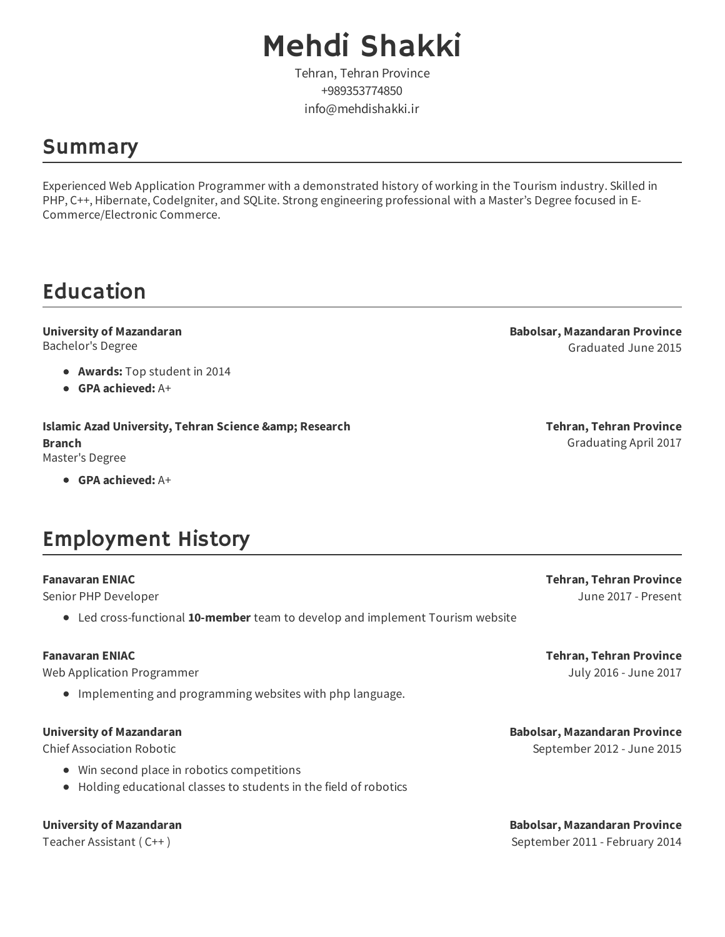# Mehdi Shakki

Tehran, Tehran Province +989353774850 info@mehdishakki.ir

### Summary

Experienced Web Application Programmer with a demonstrated history of working in the Tourism industry. Skilled in PHP, C++, Hibernate, CodeIgniter, and SQLite. Strong engineering professional with a Master's Degree focused in E-Commerce/Electronic Commerce.

## Education

#### **University of Mazandaran** Bachelor's Degree

- **Awards:** Top student in 2014
- **GPA achieved:** A+

**Islamic Azad University, Tehran Science & amp; Research Branch** Master's Degree

**GPA achieved:** A+

### Employment History

#### **Fanavaran ENIAC**

Senior PHP Developer

Led cross-functional **10-member** team to develop and implement Tourism website

#### **Fanavaran ENIAC**

Web Application Programmer

Implementing and programming websites with php language.

#### **University of Mazandaran**

Chief Association Robotic

- Win second place in robotics competitions
- Holding educational classes to students in the field of robotics

#### **University of Mazandaran**

Teacher Assistant ( C++ )

**Babolsar, Mazandaran Province** Graduated June 2015

> **Tehran, Tehran Province** Graduating April 2017

> **Tehran, Tehran Province** June 2017 - Present

> **Tehran, Tehran Province** July 2016 - June 2017

**Babolsar, Mazandaran Province** September 2012 - June 2015

**Babolsar, Mazandaran Province** September 2011 - February 2014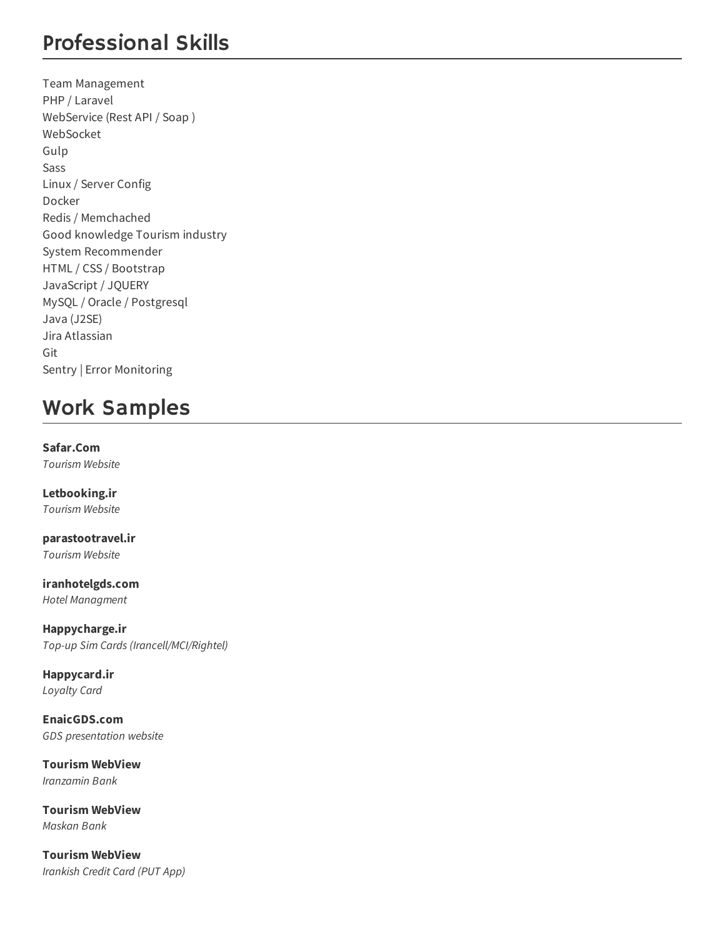### Professional Skills

Team Management PHP / Laravel WebService (Rest API / Soap ) WebSocket Gulp Sass Linux / Server Config Docker Redis / Memchached Good knowledge Tourism industry System Recommender HTML / CSS / Bootstrap JavaScript / JQUERY MySQL / Oracle / Postgresql Java (J2SE) Jira Atlassian Git Sentry | Error Monitoring

## Work Samples

**Safar.Com** *Tourism Website*

**Letbooking.ir** *Tourism Website*

**parastootravel.ir** *Tourism Website*

**iranhotelgds.com** *Hotel Managment*

**Happycharge.ir** *Top-up Sim Cards (Irancell/MCI/Rightel)*

**Happycard.ir** *Loyalty Card*

**EnaicGDS.com** *GDS presentation website*

**Tourism WebView** *Iranzamin Bank*

**Tourism WebView** *Maskan Bank*

**Tourism WebView** *Irankish Credit Card (PUT App)*